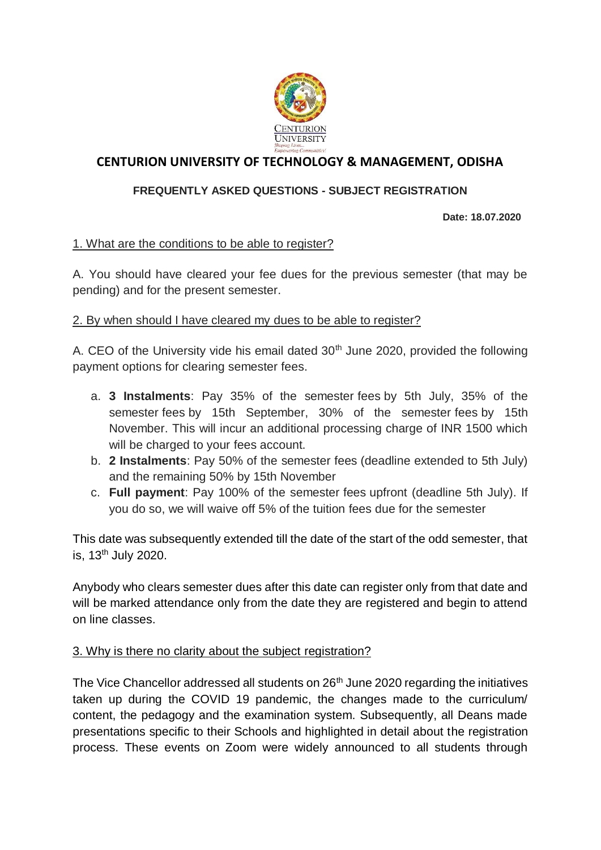

# **CENTURION UNIVERSITY OF TECHNOLOGY & MANAGEMENT, ODISHA**

## **FREQUENTLY ASKED QUESTIONS - SUBJECT REGISTRATION**

**Date: 18.07.2020**

## 1. What are the conditions to be able to register?

A. You should have cleared your fee dues for the previous semester (that may be pending) and for the present semester.

#### 2. By when should I have cleared my dues to be able to register?

A. CEO of the University vide his email dated  $30<sup>th</sup>$  June 2020, provided the following payment options for clearing semester fees.

- a. **3 Instalments**: Pay 35% of the semester fees by 5th July, 35% of the semester fees by 15th September, 30% of the semester fees by 15th November. This will incur an additional processing charge of INR 1500 which will be charged to your fees account.
- b. **2 Instalments**: Pay 50% of the semester fees (deadline extended to 5th July) and the remaining 50% by 15th November
- c. **Full payment**: Pay 100% of the semester fees upfront (deadline 5th July). If you do so, we will waive off 5% of the tuition fees due for the semester

This date was subsequently extended till the date of the start of the odd semester, that is, 13<sup>th</sup> July 2020.

Anybody who clears semester dues after this date can register only from that date and will be marked attendance only from the date they are registered and begin to attend on line classes.

## 3. Why is there no clarity about the subject registration?

The Vice Chancellor addressed all students on 26<sup>th</sup> June 2020 regarding the initiatives taken up during the COVID 19 pandemic, the changes made to the curriculum/ content, the pedagogy and the examination system. Subsequently, all Deans made presentations specific to their Schools and highlighted in detail about the registration process. These events on Zoom were widely announced to all students through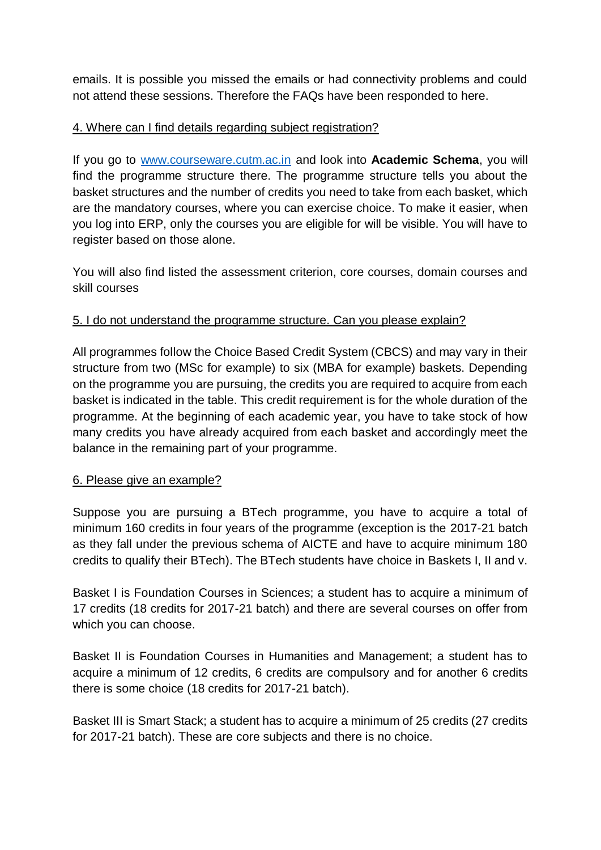emails. It is possible you missed the emails or had connectivity problems and could not attend these sessions. Therefore the FAQs have been responded to here.

## 4. Where can I find details regarding subject registration?

If you go to [www.courseware.cutm.ac.in](http://www.courseware.cutm.ac.in/) and look into **Academic Schema**, you will find the programme structure there. The programme structure tells you about the basket structures and the number of credits you need to take from each basket, which are the mandatory courses, where you can exercise choice. To make it easier, when you log into ERP, only the courses you are eligible for will be visible. You will have to register based on those alone.

You will also find listed the assessment criterion, core courses, domain courses and skill courses

## 5. I do not understand the programme structure. Can you please explain?

All programmes follow the Choice Based Credit System (CBCS) and may vary in their structure from two (MSc for example) to six (MBA for example) baskets. Depending on the programme you are pursuing, the credits you are required to acquire from each basket is indicated in the table. This credit requirement is for the whole duration of the programme. At the beginning of each academic year, you have to take stock of how many credits you have already acquired from each basket and accordingly meet the balance in the remaining part of your programme.

## 6. Please give an example?

Suppose you are pursuing a BTech programme, you have to acquire a total of minimum 160 credits in four years of the programme (exception is the 2017-21 batch as they fall under the previous schema of AICTE and have to acquire minimum 180 credits to qualify their BTech). The BTech students have choice in Baskets I, II and v.

Basket I is Foundation Courses in Sciences; a student has to acquire a minimum of 17 credits (18 credits for 2017-21 batch) and there are several courses on offer from which you can choose.

Basket II is Foundation Courses in Humanities and Management; a student has to acquire a minimum of 12 credits, 6 credits are compulsory and for another 6 credits there is some choice (18 credits for 2017-21 batch).

Basket III is Smart Stack; a student has to acquire a minimum of 25 credits (27 credits for 2017-21 batch). These are core subjects and there is no choice.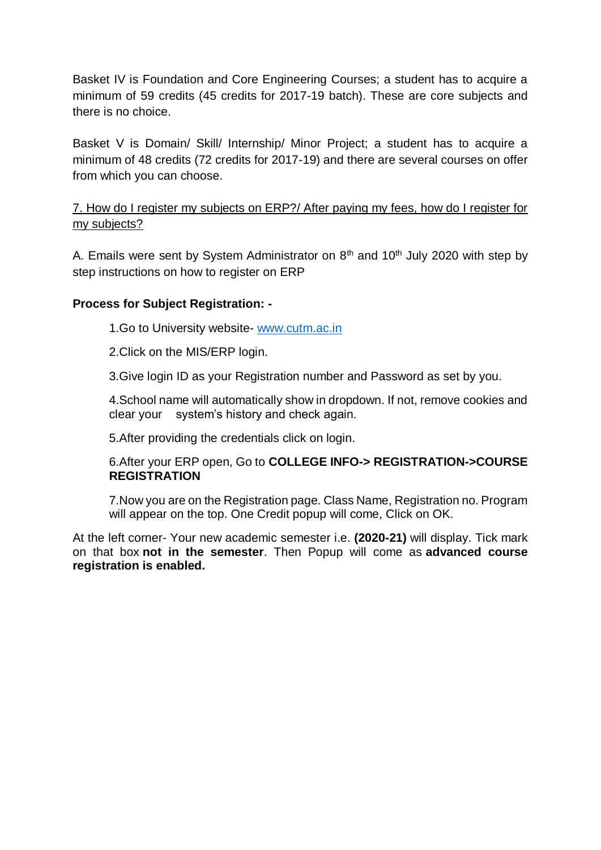Basket IV is Foundation and Core Engineering Courses; a student has to acquire a minimum of 59 credits (45 credits for 2017-19 batch). These are core subjects and there is no choice.

Basket V is Domain/ Skill/ Internship/ Minor Project; a student has to acquire a minimum of 48 credits (72 credits for 2017-19) and there are several courses on offer from which you can choose.

## 7. How do I register my subjects on ERP?/ After paying my fees, how do I register for my subjects?

A. Emails were sent by System Administrator on  $8<sup>th</sup>$  and  $10<sup>th</sup>$  July 2020 with step by step instructions on how to register on ERP

## **Process for Subject Registration: -**

1.Go to University website- [www.cutm.ac.in](http://www.cutm.ac.in/)

2.Click on the MIS/ERP login.

3.Give login ID as your Registration number and Password as set by you.

4.School name will automatically show in dropdown. If not, remove cookies and clear your system's history and check again.

5.After providing the credentials click on login.

6.After your ERP open, Go to **COLLEGE INFO-> REGISTRATION->COURSE REGISTRATION**

7.Now you are on the Registration page. Class Name, Registration no. Program will appear on the top. One Credit popup will come, Click on OK.

At the left corner- Your new academic semester i.e. **(2020-21)** will display. Tick mark on that box **not in the semester**. Then Popup will come as **advanced course registration is enabled.**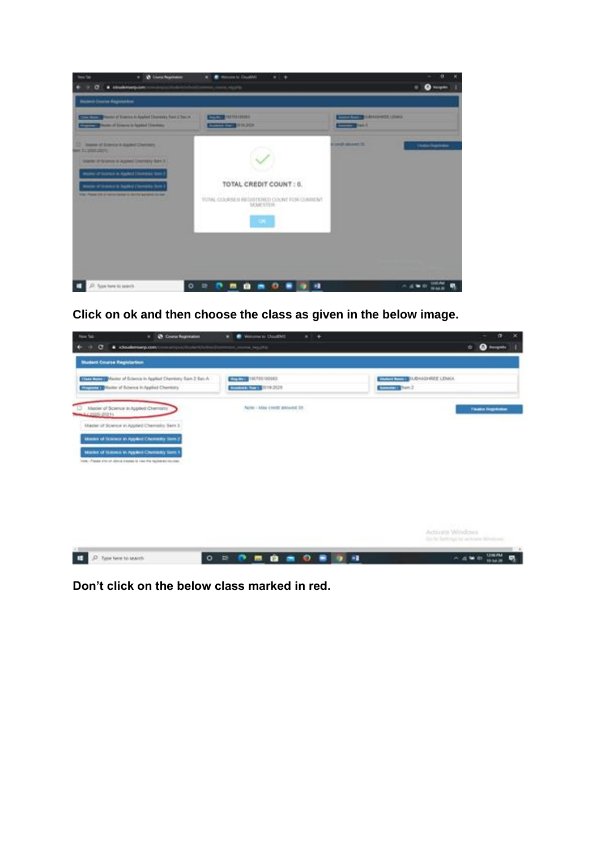

**Click on ok and then choose the class as given in the below image.**



**Don't click on the below class marked in red.**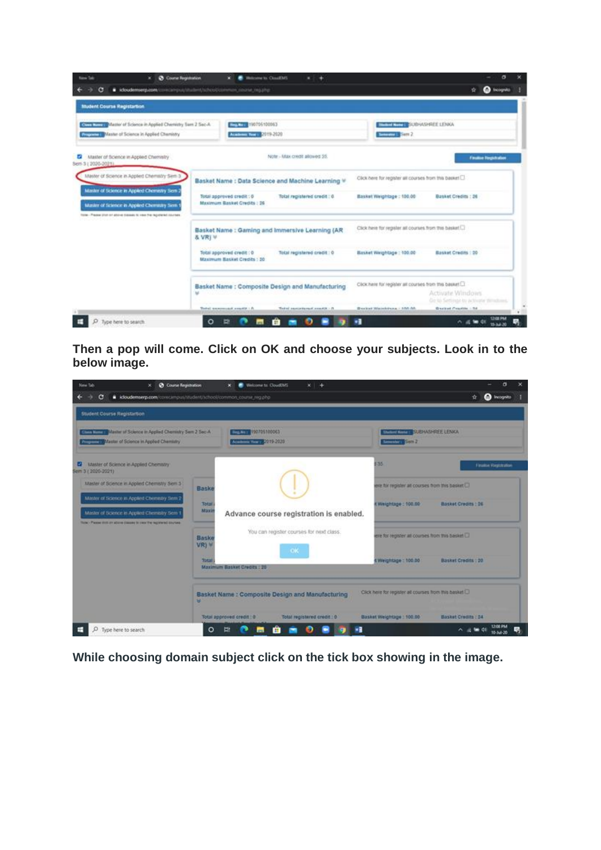| <b>New Sale</b>                   | <b>Ø</b> Course Regeleation                                                                                                                                                                                | <b>B</b> Holzstein In Cloud MS<br>×.<br>. .                                                                                                  | $\sigma$                                                                                                          |
|-----------------------------------|------------------------------------------------------------------------------------------------------------------------------------------------------------------------------------------------------------|----------------------------------------------------------------------------------------------------------------------------------------------|-------------------------------------------------------------------------------------------------------------------|
| c                                 | Coudemserp.com/cove/popul/student/tohobiolenman_counter.ing.php                                                                                                                                            |                                                                                                                                              | <b>Call Incognitio</b><br>۰                                                                                       |
| <b>Student Course Registarion</b> |                                                                                                                                                                                                            |                                                                                                                                              |                                                                                                                   |
|                                   | Child Tour D Master of Science in Applied Chemistry Sam 2 Sec-A<br><b>Engine 1 Master of Science in Applied Chamistry</b>                                                                                  | EXPLOITE 190705100063<br>Arrest 17, 19, 2019-2020                                                                                            | <b>ENTERTAINMENT SUBHASHREE LEAKA</b><br>Seminary State 2                                                         |
| Sem 3 ( 2020-2021).               | Master of Science in Applied Chemistry                                                                                                                                                                     | Note - Max credit allowed 55.                                                                                                                | <b>Finalize Terpulsation</b>                                                                                      |
|                                   | Master of Science in Appled Chemistry Sem 3<br>Master of Science in Appled Chemistry Sem 2<br>Master of Science in Appled Chermany Sern 1<br>late-Passe (for or above basses to rea the tepotene) courses. | Basket Name : Data Science and Machine Learning V<br>Total approved credit : 0<br>Total registered credit : 0<br>Maximum Basket Credits : 26 | Click here for register all courses from this basket<br>Basket Weightage: 150.00<br><b>Basket Credits : 26</b>    |
|                                   | & VRI V                                                                                                                                                                                                    | Basket Name : Gaming and Immersive Learning (AR                                                                                              | Click here for register all courses from this basket.                                                             |
|                                   |                                                                                                                                                                                                            | Total approved credit (0)<br>Total registered credit : 0<br>Maximum Basket Credits : 30                                                      | Basket Weightage : 100.00<br><b>Rosset Credits : 20</b>                                                           |
|                                   | w                                                                                                                                                                                                          | Basket Name : Composite Design and Manufacturing                                                                                             | Click have for register all courses from this basket<br>Activate Windows<br>Go to Settings to activate directors. |
|                                   |                                                                                                                                                                                                            | There's announced available in<br>Todal carto tierant avenue - O                                                                             | Breaker Weisinkirche - 655 AA<br><b>Basket Countrie - 34</b><br>208 PM                                            |
| Type here to search               |                                                                                                                                                                                                            | 图                                                                                                                                            | ٠.<br>△ 点 输 di                                                                                                    |

**Then a pop will come. Click on OK and choose your subjects. Look in to the below image.**

| <b>O</b> Course Registration<br><b>New Tab.</b><br>×.                                                                     |                | <b>B</b> Nelcome to CloudEMS<br>$\mathbf{x}$            | $x +$                                           |                           | α<br>×                                                   |
|---------------------------------------------------------------------------------------------------------------------------|----------------|---------------------------------------------------------|-------------------------------------------------|---------------------------|----------------------------------------------------------|
| i icloudemserp.com/corecampus/student/school/common_course_reg.php<br>G                                                   |                |                                                         |                                                 |                           | <b>Co</b> Incognito<br>÷                                 |
| Student Course Registartion                                                                                               |                |                                                         |                                                 |                           |                                                          |
| Cities November 19 Marchet of Science In Applied Chemistry Sem 2 Sec-A<br><b>Committee of Science in Appled Chemistry</b> |                | 190705100063<br><b>Inc. No. 1</b><br>Access 1 7019-2020 |                                                 | Seminary Semil            | <b>WEIGHTEN CURRASHER LENKA</b>                          |
| <b>D2</b> Master of Science in Applied Chematry<br>Sem 3 (2020-2021)                                                      |                |                                                         |                                                 | \$35                      | <b>Finaltie Registration</b>                             |
| Master of Science in Applied Chemistry Sem 3                                                                              | Baske          |                                                         |                                                 |                           | erie für register all courses from this basket $\square$ |
| Master of Science in Applied Chematry Sem 2                                                                               | Total          |                                                         |                                                 | E Weightage: 100.00       | <b>Basket Credits : 26</b>                               |
| Master of Science in Applied Chemistry Sem 1<br>ficial - Plasse child on allow dissues to your the registered sources.    | Maxin          |                                                         | Advance course registration is enabled.         |                           |                                                          |
|                                                                                                                           | Baske<br>VR) W |                                                         | You can register courses for next class.        |                           | ere for register all courses from this basket            |
|                                                                                                                           | Total          | Maximum Basket Credits : 26                             | <b>OK</b>                                       | 4 Weightage : 100.00      | Basket Credits : 20                                      |
|                                                                                                                           |                |                                                         |                                                 |                           |                                                          |
|                                                                                                                           | w              |                                                         | Basket Name: Composite Design and Manufacturing |                           | Click here for register all courses from this basket     |
|                                                                                                                           |                | Total approved credit : 0                               | Total registered credit : 0                     | Basket Weightage : 100.00 | Basket Credits : 24                                      |
| O<br>Type here to search                                                                                                  | $\circ$        | 斷<br>$\overline{\phantom{a}}$                           | o<br><b>RE</b>                                  | ×R                        | $\wedge$ = $\omega$ di 1206 PM                           |

**While choosing domain subject click on the tick box showing in the image.**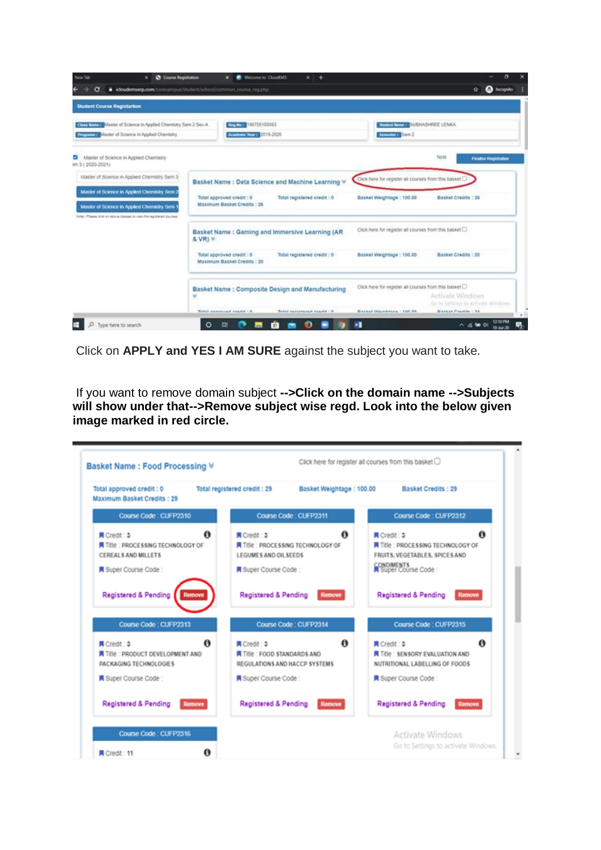| New Talk<br>×.<br>c.                                                                                                                                                                                           | <b>Ch</b> Course Registration<br>Welchese to: CleanFMS<br>$x +$<br>di idoudemserp.com/conscimpiut/student/school/common_course_reg.php                                   | the Incorporation<br>÷                                                                                               |
|----------------------------------------------------------------------------------------------------------------------------------------------------------------------------------------------------------------|--------------------------------------------------------------------------------------------------------------------------------------------------------------------------|----------------------------------------------------------------------------------------------------------------------|
| <b>Student Course Registartion</b>                                                                                                                                                                             |                                                                                                                                                                          |                                                                                                                      |
| <b>KING LINES Master of Science in Applied Chemistry Sem 2 Sec-A.</b><br><b>Remains I Master of Science in Applied Chemistry</b>                                                                               | ELTRA 2010 150705100063<br>Academic Treat 2019-2020<br><b>America</b> in Sam 2                                                                                           | AWARE THE SUBHASHREE LENKA.                                                                                          |
| Master of Science in Applied Chemistry<br>e.<br>nm 3 (2020-2021)                                                                                                                                               |                                                                                                                                                                          | Note<br><b>Finalise Hegistration</b>                                                                                 |
| Master of Science in Appled Chemistry Sem 3<br>Master of Science in Appled Chemistry Sem 2<br>Master of Science in Applied Chemistry Sem 1<br>Fore: Passe (for an allow Decest to race the registered sturbes) | Basket Name: Data Science and Machine Learning V<br>Total registered credit : 0<br>Basket Weightage : 100.00<br>Total approved credit : 0<br>Maximum Basket Credits : 26 | Click here for register all courses from this basket<br><b>Basket Credits : 26</b>                                   |
|                                                                                                                                                                                                                | Basket Name : Gaming and Immersive Learning (AR<br>& VR) V                                                                                                               | CSCk here for register all courses from this basket.                                                                 |
|                                                                                                                                                                                                                | Total registered credit : 0<br>Basket Weightage : 100.00<br>Total approved credit : 0<br>Maximum Basket Credits : 20                                                     | <b>Basket Credits : 20</b>                                                                                           |
|                                                                                                                                                                                                                | Basket Name : Composite Design and Manufacturing<br>恩                                                                                                                    | Click here for register all courses from this basket [.]<br>Activate Windows<br>Go he Settings to activitie Windows. |
|                                                                                                                                                                                                                | <b>Thursd. Amministered misuble : A</b><br>Backet Weishhaus   195 55<br>Thatal equivalent creation to the                                                                | <b>Bearing Provide</b> - Rd.                                                                                         |

Click on **APPLY and YES I AM SURE** against the subject you want to take.

If you want to remove domain subject **-->Click on the domain name -->Subjects will show under that-->Remove subject wise regd. Look into the below given image marked in red circle.**

| Total approved credit: 0<br>Maximum Basket Credits: 29                              | Total registered credit: 29                                                    | Basket Weightage: 100.00 | Basket Credits: 29                                                                     |        |
|-------------------------------------------------------------------------------------|--------------------------------------------------------------------------------|--------------------------|----------------------------------------------------------------------------------------|--------|
| Course Code: CUFP2310                                                               | Course Code : CUFP2311                                                         |                          | Course Code: CUFP2312                                                                  |        |
| $\bullet$<br>■ Credit: 3<br>Title : PROCESSING TECHNOLOGY OF<br>CEREALS AND MILLETS | ■ Credit: 3<br>Trie: PROCESSING TECHNOLOGY OF<br>LEGUMES AND OILSEEDS          | $\bullet$                | ø<br>同 Credit: 3<br>Title : PROCESSING TECHNOLOGY OF<br>FRUITS, VEGETABLES, SPICES AND |        |
| ■ Super Course Code:<br>Super Course Code:                                          |                                                                                |                          | <b>CONDIMENTS</b><br>Super Course Code:                                                |        |
| Registered & Pending<br><b><i><u>Company</u></i></b>                                | <b>Registered &amp; Pending</b>                                                | <b>Remove</b>            | <b>Registered &amp; Pending</b>                                                        | Remove |
| Course Code: CUFP2313                                                               | Course Code: CUFP2314                                                          |                          | Course Code: CUFP2315                                                                  |        |
| 0<br>■ Credit 1 3<br>Title : PRODUCT DEVELOPMENT AND<br>PACKAGING TECHNOLOGIES      | ■ Credit: 3<br><b>THE: FOOD STANDARDS AND</b><br>REGULATIONS AND HACCP SYSTEMS | ø                        | ■ Credit 13<br><b>Title: SENSORY EVALUATION AND</b><br>NUTRITIONAL LABELLING OF FOODS  | 0      |
| <b>R</b> Super Course Code:<br>Super Course Code:                                   |                                                                                |                          | ■ Super Course Code:                                                                   |        |
| <b>Registered &amp; Pending</b><br>Remove                                           | <b>Registered &amp; Pending</b>                                                | Remove                   | <b>Registered &amp; Pending</b>                                                        | Remove |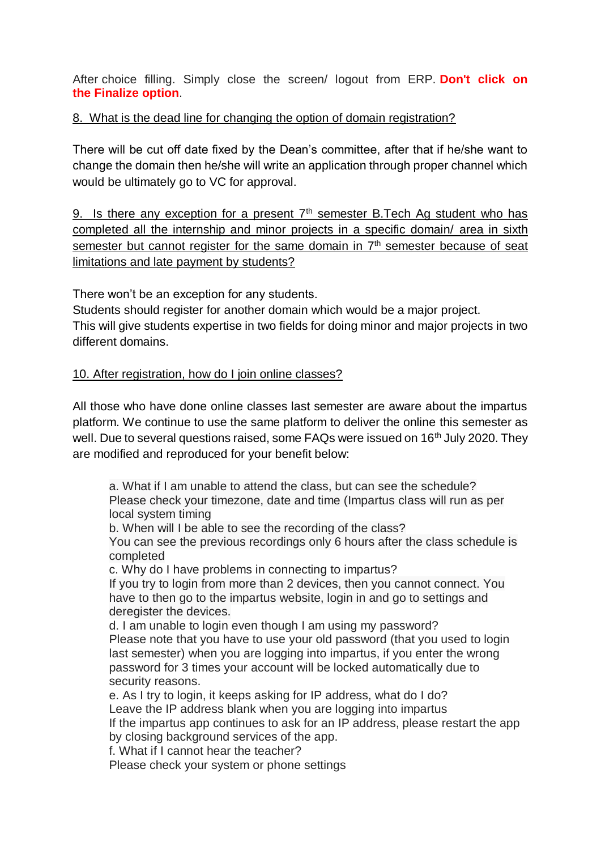After choice filling. Simply close the screen/ logout from ERP. **Don't click on the Finalize option**.

#### 8. What is the dead line for changing the option of domain registration?

There will be cut off date fixed by the Dean's committee, after that if he/she want to change the domain then he/she will write an application through proper channel which would be ultimately go to VC for approval.

9. Is there any exception for a present  $7<sup>th</sup>$  semester B.Tech Ag student who has completed all the internship and minor projects in a specific domain/ area in sixth semester but cannot register for the same domain in 7<sup>th</sup> semester because of seat limitations and late payment by students?

There won't be an exception for any students.

Students should register for another domain which would be a major project. This will give students expertise in two fields for doing minor and major projects in two different domains.

#### 10. After registration, how do I join online classes?

All those who have done online classes last semester are aware about the impartus platform. We continue to use the same platform to deliver the online this semester as well. Due to several questions raised, some FAQs were issued on 16<sup>th</sup> July 2020. They are modified and reproduced for your benefit below:

a. What if I am unable to attend the class, but can see the schedule? Please check your timezone, date and time (Impartus class will run as per local system timing

b. When will I be able to see the recording of the class?

You can see the previous recordings only 6 hours after the class schedule is completed

c. Why do I have problems in connecting to impartus?

If you try to login from more than 2 devices, then you cannot connect. You have to then go to the impartus website, login in and go to settings and deregister the devices.

d. I am unable to login even though I am using my password? Please note that you have to use your old password (that you used to login last semester) when you are logging into impartus, if you enter the wrong password for 3 times your account will be locked automatically due to security reasons.

e. As I try to login, it keeps asking for IP address, what do I do? Leave the IP address blank when you are logging into impartus If the impartus app continues to ask for an IP address, please restart the app by closing background services of the app.

f. What if I cannot hear the teacher?

Please check your system or phone settings